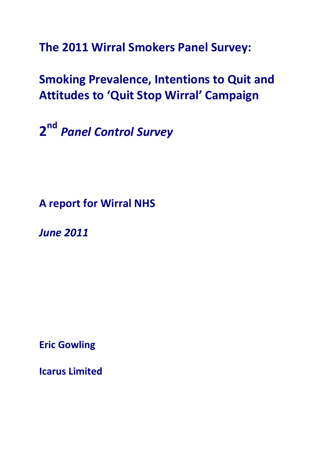**The 2011 Wirral Smokers Panel Survey:** 

# **Smoking Prevalence, Intentions to Quit and Attitudes to 'Quit Stop Wirral' Campaign**

**2nd** *Panel Control Survey*

**A report for Wirral NHS**

*June 2011*

**Eric Gowling**

**Icarus Limited**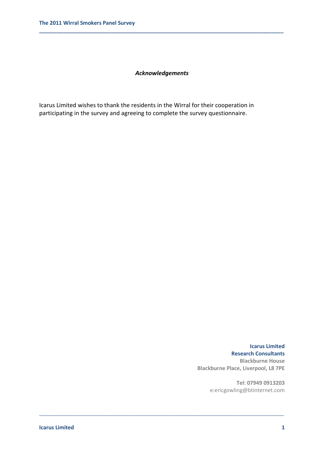### *Acknowledgements*

\_\_\_\_\_\_\_\_\_\_\_\_\_\_\_\_\_\_\_\_\_\_\_\_\_\_\_\_\_\_\_\_\_\_\_\_\_\_\_\_\_\_\_\_\_\_\_\_\_\_\_\_\_\_\_\_\_\_\_\_\_\_\_\_\_\_\_\_\_\_\_\_\_\_\_

**\_\_\_\_\_\_\_\_\_\_\_\_\_\_\_\_\_\_\_\_\_\_\_\_\_\_\_\_\_\_\_\_\_\_\_\_\_\_\_\_\_\_\_\_\_\_\_\_\_\_\_\_\_\_\_\_\_\_\_\_\_\_\_\_\_\_\_\_\_\_\_\_\_\_\_\_\_\_\_\_\_\_**

Icarus Limited wishes to thank the residents in the Wirral for their cooperation in participating in the survey and agreeing to complete the survey questionnaire.

> **Icarus Limited Research Consultants Blackburne House Blackburne Place, Liverpool, L8 7PE**

> > **Tel: 07949 0913203** e:ericgowling@btinternet.com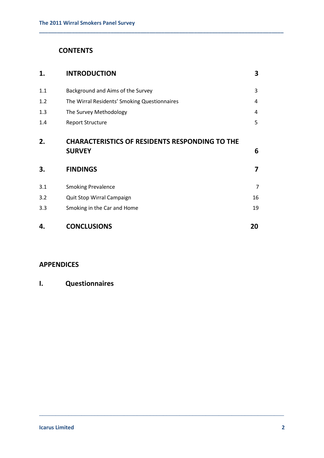# **CONTENTS**

| 1.  | <b>INTRODUCTION</b>                                                    | 3  |
|-----|------------------------------------------------------------------------|----|
| 1.1 | Background and Aims of the Survey                                      | 3  |
| 1.2 | The Wirral Residents' Smoking Questionnaires                           | 4  |
| 1.3 | The Survey Methodology                                                 | 4  |
| 1.4 | <b>Report Structure</b>                                                | 5  |
| 2.  | <b>CHARACTERISTICS OF RESIDENTS RESPONDING TO THE</b><br><b>SURVEY</b> | 6  |
| 3.  | <b>FINDINGS</b>                                                        | 7  |
| 3.1 | <b>Smoking Prevalence</b>                                              | 7  |
| 3.2 | Quit Stop Wirral Campaign                                              | 16 |
| 3.3 | Smoking in the Car and Home                                            | 19 |
| 4.  | <b>CONCLUSIONS</b>                                                     | 20 |

\_\_\_\_\_\_\_\_\_\_\_\_\_\_\_\_\_\_\_\_\_\_\_\_\_\_\_\_\_\_\_\_\_\_\_\_\_\_\_\_\_\_\_\_\_\_\_\_\_\_\_\_\_\_\_\_\_\_\_\_\_\_\_\_\_\_\_\_\_\_\_\_\_\_\_

**\_\_\_\_\_\_\_\_\_\_\_\_\_\_\_\_\_\_\_\_\_\_\_\_\_\_\_\_\_\_\_\_\_\_\_\_\_\_\_\_\_\_\_\_\_\_\_\_\_\_\_\_\_\_\_\_\_\_\_\_\_\_\_\_\_\_\_\_\_\_\_\_\_\_\_\_\_\_\_\_\_\_**

# **APPENDICES**

# **I. Questionnaires**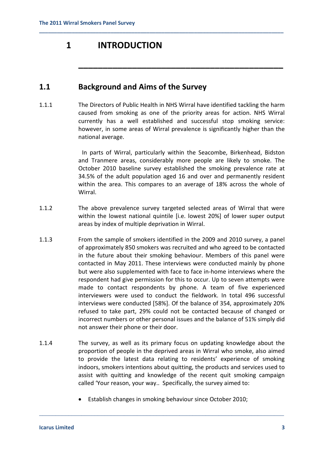# **1 INTRODUCTION**

# **1.1 Background and Aims of the Survey**

1.1.1 The Directors of Public Health in NHS Wirral have identified tackling the harm caused from smoking as one of the priority areas for action. NHS Wirral currently has a well established and successful stop smoking service: however, in some areas of Wirral prevalence is significantly higher than the national average.

**\_\_\_\_\_\_\_\_\_\_\_\_\_\_\_\_\_\_\_\_\_\_\_\_\_\_\_\_\_\_\_\_\_\_\_\_\_\_\_\_\_\_\_\_\_\_\_\_\_\_\_\_\_\_\_\_\_\_\_\_\_\_\_\_\_\_\_\_\_\_\_\_\_\_\_\_\_\_\_\_\_\_**

 In parts of Wirral, particularly within the Seacombe, Birkenhead, Bidston and Tranmere areas, considerably more people are likely to smoke. The October 2010 baseline survey established the smoking prevalence rate at 34.5% of the adult population aged 16 and over and permanently resident within the area. This compares to an average of 18% across the whole of Wirral.

**\_\_\_\_\_\_\_\_\_\_\_\_\_\_\_\_\_\_\_\_\_\_\_\_\_\_\_\_\_\_\_\_\_\_\_\_\_\_\_\_\_\_**

- 1.1.2 The above prevalence survey targeted selected areas of Wirral that were within the lowest national quintile [i.e. lowest 20%] of lower super output areas by index of multiple deprivation in Wirral.
- 1.1.3 From the sample of smokers identified in the 2009 and 2010 survey, a panel of approximately 850 smokers was recruited and who agreed to be contacted in the future about their smoking behaviour. Members of this panel were contacted in May 2011. These interviews were conducted mainly by phone but were also supplemented with face to face in-home interviews where the respondent had give permission for this to occur. Up to seven attempts were made to contact respondents by phone. A team of five experienced interviewers were used to conduct the fieldwork. In total 496 successful interviews were conducted [58%]. Of the balance of 354, approximately 20% refused to take part, 29% could not be contacted because of changed or incorrect numbers or other personal issues and the balance of 51% simply did not answer their phone or their door.
- 1.1.4 The survey, as well as its primary focus on updating knowledge about the proportion of people in the deprived areas in Wirral who smoke, also aimed to provide the latest data relating to residents' experience of smoking indoors, smokers intentions about quitting, the products and services used to assist with quitting and knowledge of the recent quit smoking campaign called 'Your reason, your way.. Specifically, the survey aimed to:
	- Establish changes in smoking behaviour since October 2010;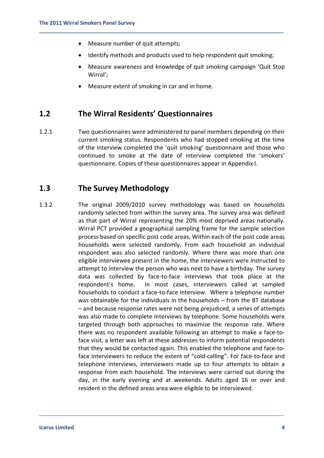- Measure number of quit attempts;
- Identify methods and products used to help respondent quit smoking;

**\_\_\_\_\_\_\_\_\_\_\_\_\_\_\_\_\_\_\_\_\_\_\_\_\_\_\_\_\_\_\_\_\_\_\_\_\_\_\_\_\_\_\_\_\_\_\_\_\_\_\_\_\_\_\_\_\_\_\_\_\_\_\_\_\_\_\_\_\_\_\_\_\_\_\_\_\_\_\_\_\_\_**

- Measure awareness and knowledge of quit smoking campaign 'Quit Stop Wirral';
- Measure extent of smoking in car and in home.

### **1.2 The Wirral Residents' Questionnaires**

1.2.1 Two questionnaires were administered to panel members depending on their current smoking status. Respondents who had stopped smoking at the time of the interview completed the 'quit smoking' questionnaire and those who continued to smoke at the date of interview completed the 'smokers' questionnaire. Copies of these questionnaires appear in Appendix I.

### **1.3 The Survey Methodology**

1.3.2 The original 2009/2010 survey methodology was based on households randomly selected from within the survey area. The survey area was defined as that part of Wirral representing the 20% most deprived areas nationally. Wirral PCT provided a geographical sampling frame for the sample selection process based on specific post code areas. Within each of the post code areas households were selected randomly. From each household an individual respondent was also selected randomly. Where there was more than one eligible interviewee present in the home, the interviewers were instructed to attempt to interview the person who was next to have a birthday. The survey data was collected by face-to-face interviews that took place at the respondent's home. In most cases, interviewers called at sampled households to conduct a face-to-face interview. Where a telephone number was obtainable for the individuals in the households – from the BT database – and because response rates were not being prejudiced, a series of attempts was also made to complete interviews by telephone. Some households were targeted through both approaches to maximise the response rate. Where there was no respondent available following an attempt to make a face-toface visit, a letter was left at these addresses to inform potential respondents that they would be contacted again. This enabled the telephone and face-toface interviewers to reduce the extent of "cold-calling". For face-to-face and telephone interviews, interviewers made up to four attempts to obtain a response from each household. The interviews were carried out during the day, in the early evening and at weekends. Adults aged 16 or over and resident in the defined areas area were eligible to be interviewed.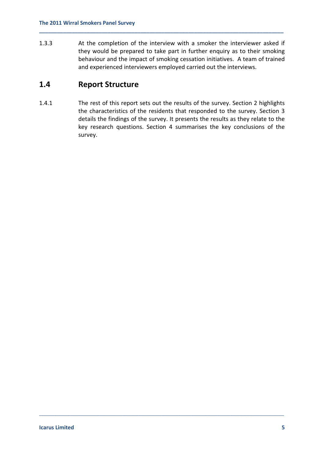1.3.3 At the completion of the interview with a smoker the interviewer asked if they would be prepared to take part in further enquiry as to their smoking behaviour and the impact of smoking cessation initiatives. A team of trained and experienced interviewers employed carried out the interviews.

**\_\_\_\_\_\_\_\_\_\_\_\_\_\_\_\_\_\_\_\_\_\_\_\_\_\_\_\_\_\_\_\_\_\_\_\_\_\_\_\_\_\_\_\_\_\_\_\_\_\_\_\_\_\_\_\_\_\_\_\_\_\_\_\_\_\_\_\_\_\_\_\_\_\_\_\_\_\_\_\_\_\_**

# **1.4 Report Structure**

1.4.1 The rest of this report sets out the results of the survey. Section 2 highlights the characteristics of the residents that responded to the survey. Section 3 details the findings of the survey. It presents the results as they relate to the key research questions. Section 4 summarises the key conclusions of the survey.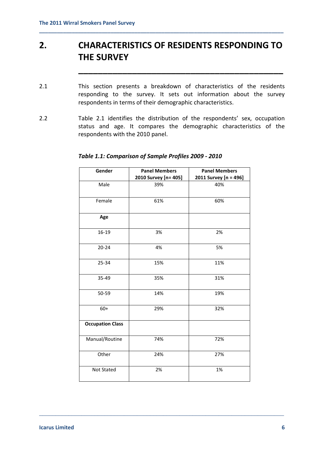# **2. CHARACTERISTICS OF RESIDENTS RESPONDING TO THE SURVEY**

**\_\_\_\_\_\_\_\_\_\_\_\_\_\_\_\_\_\_\_\_\_\_\_\_\_\_\_\_\_\_\_\_\_\_\_\_\_\_\_\_\_\_**

**\_\_\_\_\_\_\_\_\_\_\_\_\_\_\_\_\_\_\_\_\_\_\_\_\_\_\_\_\_\_\_\_\_\_\_\_\_\_\_\_\_\_\_\_\_\_\_\_\_\_\_\_\_\_\_\_\_\_\_\_\_\_\_\_\_\_\_\_\_\_\_\_\_\_\_\_\_\_\_\_\_\_**

- 2.1 This section presents a breakdown of characteristics of the residents responding to the survey. It sets out information about the survey respondents in terms of their demographic characteristics.
- 2.2 Table 2.1 identifies the distribution of the respondents' sex, occupation status and age. It compares the demographic characteristics of the respondents with the 2010 panel.

| Gender                  | <b>Panel Members</b> | <b>Panel Members</b>  |
|-------------------------|----------------------|-----------------------|
|                         | 2010 Survey [n= 405] | 2011 Survey [n = 496] |
| Male                    | 39%                  | 40%                   |
| Female                  | 61%                  | 60%                   |
| Age                     |                      |                       |
| 16-19                   | 3%                   | 2%                    |
| $20 - 24$               | 4%                   | 5%                    |
| 25-34                   | 15%                  | 11%                   |
| 35-49                   | 35%                  | 31%                   |
| 50-59                   | 14%                  | 19%                   |
| $60+$                   | 29%                  | 32%                   |
| <b>Occupation Class</b> |                      |                       |
| Manual/Routine          | 74%                  | 72%                   |
| Other                   | 24%                  | 27%                   |
| Not Stated              | 2%                   | 1%                    |

\_\_\_\_\_\_\_\_\_\_\_\_\_\_\_\_\_\_\_\_\_\_\_\_\_\_\_\_\_\_\_\_\_\_\_\_\_\_\_\_\_\_\_\_\_\_\_\_\_\_\_\_\_\_\_\_\_\_\_\_\_\_\_\_\_\_\_\_\_\_\_\_\_\_\_

### *Table 1.1: Comparison of Sample Profiles 2009 - 2010*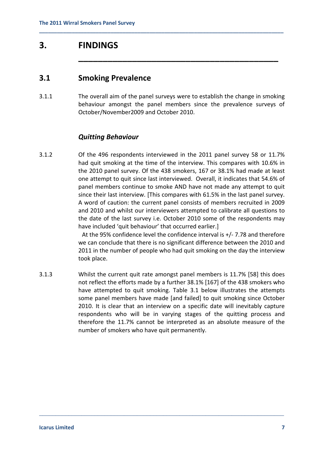# **3. FINDINGS**

### **3.1 Smoking Prevalence**

3.1.1 The overall aim of the panel surveys were to establish the change in smoking behaviour amongst the panel members since the prevalence surveys of October/November2009 and October 2010.

**\_\_\_\_\_\_\_\_\_\_\_\_\_\_\_\_\_\_\_\_\_\_\_\_\_\_\_\_\_\_\_\_\_\_\_\_\_\_\_\_\_\_\_\_\_\_\_\_\_\_\_\_\_\_\_\_\_\_\_\_\_\_\_\_\_\_\_\_\_\_\_\_\_\_\_\_\_\_\_\_\_\_**

**\_\_\_\_\_\_\_\_\_\_\_\_\_\_\_\_\_\_\_\_\_\_\_\_\_\_\_\_\_\_\_\_\_\_\_\_\_\_\_\_\_**

### *Quitting Behaviour*

3.1.2 Of the 496 respondents interviewed in the 2011 panel survey 58 or 11.7% had quit smoking at the time of the interview. This compares with 10.6% in the 2010 panel survey. Of the 438 smokers, 167 or 38.1% had made at least one attempt to quit since last interviewed. Overall, it indicates that 54.6% of panel members continue to smoke AND have not made any attempt to quit since their last interview. [This compares with 61.5% in the last panel survey. A word of caution: the current panel consists of members recruited in 2009 and 2010 and whilst our interviewers attempted to calibrate all questions to the date of the last survey i.e. October 2010 some of the respondents may have included 'quit behaviour' that occurred earlier.]

> At the 95% confidence level the confidence interval is +/- 7.78 and therefore we can conclude that there is no significant difference between the 2010 and 2011 in the number of people who had quit smoking on the day the interview took place.

3.1.3 Whilst the current quit rate amongst panel members is 11.7% [58] this does not reflect the efforts made by a further 38.1% [167] of the 438 smokers who have attempted to quit smoking. Table 3.1 below illustrates the attempts some panel members have made [and failed] to quit smoking since October 2010. It is clear that an interview on a specific date will inevitably capture respondents who will be in varying stages of the quitting process and therefore the 11.7% cannot be interpreted as an absolute measure of the number of smokers who have quit permanently.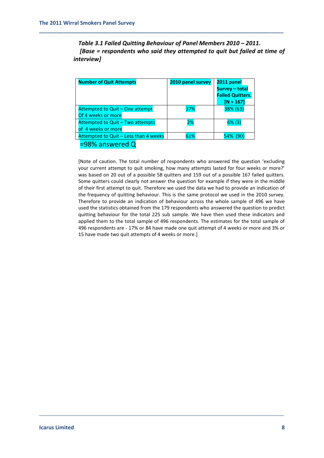*Table 3.1 Failed Quitting Behaviour of Panel Members 2010 – 2011. [Base = respondents who said they attempted to quit but failed at time of interview]*

| <b>Number of Quit Attempts</b>        | 2010 panel survey | 2011 panel<br><b>Survey - total</b><br><b>Failed Quitters.</b><br>$[N = 167]$ |
|---------------------------------------|-------------------|-------------------------------------------------------------------------------|
| Attempted to Quit - One attempt       | 37%               | 38% (63)                                                                      |
| Of 4 weeks or more                    |                   |                                                                               |
| Attempted to Quit - Two attempts      | 2%                | $6\%$ (3)                                                                     |
| of 4 weeks or more                    |                   |                                                                               |
| Attempted to Quit - Less than 4 weeks | 61%               | 54% (90)                                                                      |
| =98% answered Q                       |                   |                                                                               |

**\_\_\_\_\_\_\_\_\_\_\_\_\_\_\_\_\_\_\_\_\_\_\_\_\_\_\_\_\_\_\_\_\_\_\_\_\_\_\_\_\_\_\_\_\_\_\_\_\_\_\_\_\_\_\_\_\_\_\_\_\_\_\_\_\_\_\_\_\_\_\_\_\_\_\_\_\_\_\_\_\_\_**

[Note of caution. The total number of respondents who answered the question 'excluding your current attempt to quit smoking, how many attempts lasted for four weeks or more?' was based on 20 out of a possible 58 quitters and 159 out of a possible 167 failed quitters. Some quitters could clearly not answer the question for example if they were in the middle of their first attempt to quit. Therefore we used the data we had to provide an indication of the frequency of quitting behaviour. This is the same protocol we used in the 2010 survey. Therefore to provide an indication of behaviour across the whole sample of 496 we have used the statistics obtained from the 179 respondents who answered the question to predict quitting behaviour for the total 225 sub sample. We have then used these indicators and applied them to the total sample of 496 respondents. The estimates for the total sample of 496 respondents are - 17% or 84 have made one quit attempt of 4 weeks or more and 3% or 15 have made two quit attempts of 4 weeks or more.]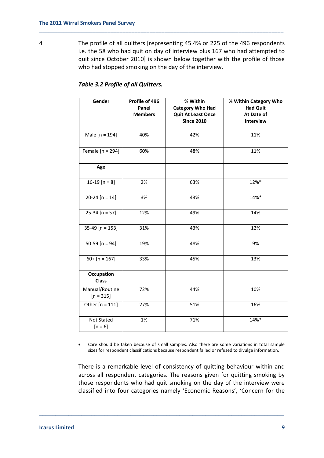4 The profile of all quitters [representing 45.4% or 225 of the 496 respondents i.e. the 58 who had quit on day of interview plus 167 who had attempted to quit since October 2010] is shown below together with the profile of those who had stopped smoking on the day of the interview.

**\_\_\_\_\_\_\_\_\_\_\_\_\_\_\_\_\_\_\_\_\_\_\_\_\_\_\_\_\_\_\_\_\_\_\_\_\_\_\_\_\_\_\_\_\_\_\_\_\_\_\_\_\_\_\_\_\_\_\_\_\_\_\_\_\_\_\_\_\_\_\_\_\_\_\_\_\_\_\_\_\_\_**

| Gender                            | Profile of 496<br>Panel<br><b>Members</b> | % Within<br><b>Category Who Had</b><br><b>Quit At Least Once</b><br><b>Since 2010</b> | % Within Category Who<br><b>Had Quit</b><br>At Date of<br>Interview |
|-----------------------------------|-------------------------------------------|---------------------------------------------------------------------------------------|---------------------------------------------------------------------|
| Male $[n = 194]$                  | 40%                                       | 42%                                                                                   | 11%                                                                 |
| Female $[n = 294]$                | 60%                                       | 48%                                                                                   | 11%                                                                 |
| Age                               |                                           |                                                                                       |                                                                     |
| 16-19 [n = $8$ ]                  | 2%                                        | 63%                                                                                   | 12%*                                                                |
| $20-24 [n = 14]$                  | 3%                                        | 43%                                                                                   | 14%*                                                                |
| $25-34 [n = 57]$                  | 12%                                       | 49%                                                                                   | 14%                                                                 |
| $35-49$ [n = 153]                 | 31%                                       | 43%                                                                                   | 12%                                                                 |
| 50-59 [n = 94]                    | 19%                                       | 48%                                                                                   | 9%                                                                  |
| $60+$ [n = 167]                   | 33%                                       | 45%                                                                                   | 13%                                                                 |
| <b>Occupation</b><br><b>Class</b> |                                           |                                                                                       |                                                                     |
| Manual/Routine<br>$[n = 315]$     | 72%                                       | 44%                                                                                   | 10%                                                                 |
| Other $[n = 111]$                 | 27%                                       | 51%                                                                                   | 16%                                                                 |
| Not Stated<br>$[n = 6]$           | 1%                                        | 71%                                                                                   | 14%*                                                                |

### *Table 3.2 Profile of all Quitters.*

• Care should be taken because of small samples. Also there are some variations in total sample sizes for respondent classifications because respondent failed or refused to divulge information.

There is a remarkable level of consistency of quitting behaviour within and across all respondent categories. The reasons given for quitting smoking by those respondents who had quit smoking on the day of the interview were classified into four categories namely 'Economic Reasons', 'Concern for the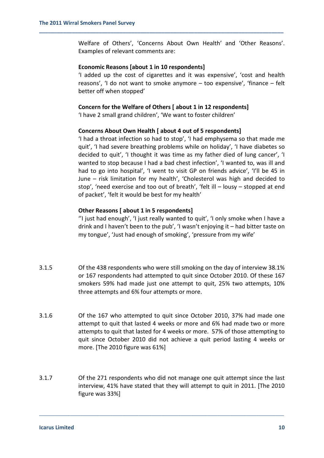Welfare of Others', 'Concerns About Own Health' and 'Other Reasons'. Examples of relevant comments are:

#### **Economic Reasons [about 1 in 10 respondents]**

'I added up the cost of cigarettes and it was expensive', 'cost and health reasons', 'I do not want to smoke anymore – too expensive', 'finance – felt better off when stopped'

#### **Concern for the Welfare of Others [ about 1 in 12 respondents]**

**\_\_\_\_\_\_\_\_\_\_\_\_\_\_\_\_\_\_\_\_\_\_\_\_\_\_\_\_\_\_\_\_\_\_\_\_\_\_\_\_\_\_\_\_\_\_\_\_\_\_\_\_\_\_\_\_\_\_\_\_\_\_\_\_\_\_\_\_\_\_\_\_\_\_\_\_\_\_\_\_\_\_**

'I have 2 small grand children', 'We want to foster children'

#### **Concerns About Own Health [ about 4 out of 5 respondents]**

'I had a throat infection so had to stop', 'I had emphysema so that made me quit', 'I had severe breathing problems while on holiday', 'I have diabetes so decided to quit', 'I thought it was time as my father died of lung cancer', 'I wanted to stop because I had a bad chest infection', 'I wanted to, was ill and had to go into hospital', 'I went to visit GP on friends advice', 'I'll be 45 in June – risk limitation for my health', 'Cholesterol was high and decided to stop', 'need exercise and too out of breath', 'felt ill – lousy – stopped at end of packet', 'felt it would be best for my health'

#### **Other Reasons [ about 1 in 5 respondents]**

''I just had enough', 'I just really wanted to quit', 'I only smoke when I have a drink and I haven't been to the pub', 'I wasn't enjoying it – had bitter taste on my tongue', 'Just had enough of smoking', 'pressure from my wife'

- 3.1.5 Of the 438 respondents who were still smoking on the day of interview 38.1% or 167 respondents had attempted to quit since October 2010. Of these 167 smokers 59% had made just one attempt to quit, 25% two attempts, 10% three attempts and 6% four attempts or more.
- 3.1.6 Of the 167 who attempted to quit since October 2010, 37% had made one attempt to quit that lasted 4 weeks or more and 6% had made two or more attempts to quit that lasted for 4 weeks or more. 57% of those attempting to quit since October 2010 did not achieve a quit period lasting 4 weeks or more. [The 2010 figure was 61%]
- 3.1.7 Of the 271 respondents who did not manage one quit attempt since the last interview, 41% have stated that they will attempt to quit in 2011. [The 2010 figure was 33%]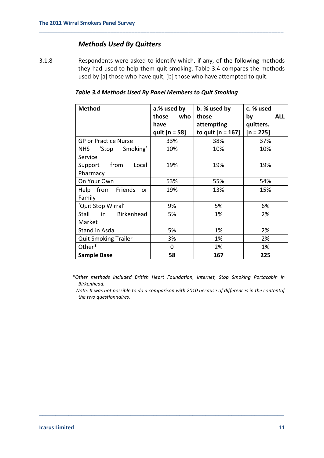### *Methods Used By Quitters*

3.1.8 Respondents were asked to identify which, if any, of the following methods they had used to help them quit smoking. Table 3.4 compares the methods used by [a] those who have quit, [b] those who have attempted to quit.

**\_\_\_\_\_\_\_\_\_\_\_\_\_\_\_\_\_\_\_\_\_\_\_\_\_\_\_\_\_\_\_\_\_\_\_\_\_\_\_\_\_\_\_\_\_\_\_\_\_\_\_\_\_\_\_\_\_\_\_\_\_\_\_\_\_\_\_\_\_\_\_\_\_\_\_\_\_\_\_\_\_\_**

| <b>Method</b>                   | a.% used by     | b. % used by        | c. % used        |
|---------------------------------|-----------------|---------------------|------------------|
|                                 | who<br>those    | those               | <b>ALL</b><br>by |
|                                 | have            | attempting          | quitters.        |
|                                 | quit $[n = 58]$ | to quit $[n = 167]$ | $[n = 225]$      |
| <b>GP or Practice Nurse</b>     | 33%             | 38%                 | 37%              |
| Smoking'<br>'Stop<br><b>NHS</b> | 10%             | 10%                 | 10%              |
| Service                         |                 |                     |                  |
| Local<br>from<br>Support        | 19%             | 19%                 | 19%              |
| Pharmacy                        |                 |                     |                  |
| On Your Own                     | 53%             | 55%                 | 54%              |
| Help from Friends<br><b>or</b>  | 19%             | 13%                 | 15%              |
| Family                          |                 |                     |                  |
| 'Quit Stop Wirral'              | 9%              | 5%                  | 6%               |
| Birkenhead<br>in<br>Stall       | 5%              | 1%                  | 2%               |
| Market                          |                 |                     |                  |
| Stand in Asda                   | 5%              | 1%                  | 2%               |
| <b>Quit Smoking Trailer</b>     | 3%              | 1%                  | 2%               |
| Other*                          | 0               | 2%                  | 1%               |
| <b>Sample Base</b>              | 58              | 167                 | 225              |

#### *Table 3.4 Methods Used By Panel Members to Quit Smoking*

 *\*Other methods included British Heart Foundation, Internet, Stop Smoking Portacabin in Birkenhead.*

 *Note: It was not possible to do a comparison with 2010 because of differences in the contentof the two questionnaires.*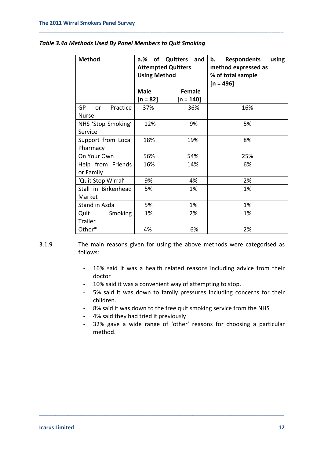| <b>Method</b>                     | of Quitters<br>$a_{\cdot}$ %<br>and<br><b>Attempted Quitters</b><br><b>Using Method</b> |             | <b>Respondents</b><br>b.<br>% of total sample<br>$[n = 496]$ |  | using<br>method expressed as |
|-----------------------------------|-----------------------------------------------------------------------------------------|-------------|--------------------------------------------------------------|--|------------------------------|
|                                   | <b>Male</b>                                                                             | Female      |                                                              |  |                              |
|                                   | [n = 82]                                                                                | $[n = 140]$ |                                                              |  |                              |
| GP<br>Practice<br>or              | 37%                                                                                     | 36%         | 16%                                                          |  |                              |
| <b>Nurse</b>                      |                                                                                         |             |                                                              |  |                              |
| NHS 'Stop Smoking'<br>Service     | 12%                                                                                     | 9%          | 5%                                                           |  |                              |
| Support from Local<br>Pharmacy    | 18%                                                                                     | 19%         | 8%                                                           |  |                              |
| On Your Own                       | 56%                                                                                     | 54%         | 25%                                                          |  |                              |
| Help from Friends<br>or Family    | 16%                                                                                     | 14%         | 6%                                                           |  |                              |
| 'Quit Stop Wirral'                | 9%                                                                                      | 4%          | 2%                                                           |  |                              |
| Stall in Birkenhead<br>Market     | 5%                                                                                      | 1%          | 1%                                                           |  |                              |
| Stand in Asda                     | 5%                                                                                      | 1%          | 1%                                                           |  |                              |
| <b>Smoking</b><br>Quit<br>Trailer | 1%                                                                                      | 2%          | 1%                                                           |  |                              |
| Other*                            | 4%                                                                                      | 6%          | 2%                                                           |  |                              |

#### *Table 3.4a Methods Used By Panel Members to Quit Smoking*

**\_\_\_\_\_\_\_\_\_\_\_\_\_\_\_\_\_\_\_\_\_\_\_\_\_\_\_\_\_\_\_\_\_\_\_\_\_\_\_\_\_\_\_\_\_\_\_\_\_\_\_\_\_\_\_\_\_\_\_\_\_\_\_\_\_\_\_\_\_\_\_\_\_\_\_\_\_\_\_\_\_\_**

- 3.1.9 The main reasons given for using the above methods were categorised as follows:
	- 16% said it was a health related reasons including advice from their doctor
	- 10% said it was a convenient way of attempting to stop.

- 5% said it was down to family pressures including concerns for their children.
- 8% said it was down to the free quit smoking service from the NHS
- 4% said they had tried it previously
- 32% gave a wide range of 'other' reasons for choosing a particular method.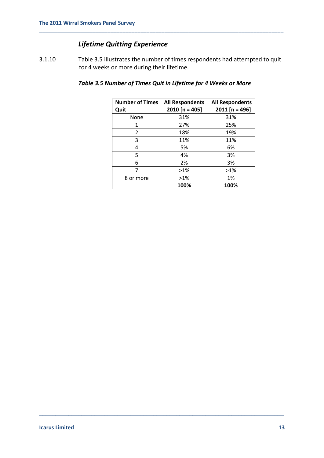# *Lifetime Quitting Experience*

3.1.10 Table 3.5 illustrates the number of times respondents had attempted to quit for 4 weeks or more during their lifetime.

**\_\_\_\_\_\_\_\_\_\_\_\_\_\_\_\_\_\_\_\_\_\_\_\_\_\_\_\_\_\_\_\_\_\_\_\_\_\_\_\_\_\_\_\_\_\_\_\_\_\_\_\_\_\_\_\_\_\_\_\_\_\_\_\_\_\_\_\_\_\_\_\_\_\_\_\_\_\_\_\_\_\_**

| <b>Number of Times</b> | <b>All Respondents</b> | <b>All Respondents</b> |
|------------------------|------------------------|------------------------|
| Quit                   | $2010$ [n = 405]       | $2011$ [n = 496]       |
| None                   | 31%                    | 31%                    |
| 1                      | 27%                    | 25%                    |
| 2                      | 18%                    | 19%                    |
| 3                      | 11%                    | 11%                    |
| 4                      | 5%                     | 6%                     |
| 5                      | 4%                     | 3%                     |
| 6                      | 2%                     | 3%                     |
| 7                      | $>1\%$                 | $>1\%$                 |
| 8 or more              | $>1\%$                 | 1%                     |
|                        | 100%                   | 100%                   |

### *Table 3.5 Number of Times Quit in Lifetime for 4 Weeks or More*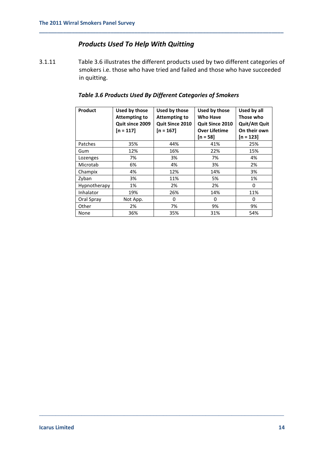### *Products Used To Help With Quitting*

3.1.11 Table 3.6 illustrates the different products used by two different categories of smokers i.e. those who have tried and failed and those who have succeeded in quitting.

**\_\_\_\_\_\_\_\_\_\_\_\_\_\_\_\_\_\_\_\_\_\_\_\_\_\_\_\_\_\_\_\_\_\_\_\_\_\_\_\_\_\_\_\_\_\_\_\_\_\_\_\_\_\_\_\_\_\_\_\_\_\_\_\_\_\_\_\_\_\_\_\_\_\_\_\_\_\_\_\_\_\_**

### *Table 3.6 Products Used By Different Categories of Smokers*

| Product      | Used by those<br><b>Attempting to</b><br>Quit since 2009<br>$[n = 117]$ | Used by those<br><b>Attempting to</b><br>Quit Since 2010<br>$[n = 167]$ | Used by those<br><b>Who Have</b><br>Quit Since 2010<br><b>Over Lifetime</b><br>$[n = 58]$ | Used by all<br>Those who<br><b>Quit/Att Quit</b><br>On their own<br>$[n = 123]$ |
|--------------|-------------------------------------------------------------------------|-------------------------------------------------------------------------|-------------------------------------------------------------------------------------------|---------------------------------------------------------------------------------|
| Patches      | 35%                                                                     | 44%                                                                     | 41%                                                                                       | 25%                                                                             |
| Gum          | 12%                                                                     | 16%                                                                     | 22%                                                                                       | 15%                                                                             |
| Lozenges     | 7%                                                                      | 3%                                                                      | 7%                                                                                        | 4%                                                                              |
| Microtab     | 6%                                                                      | 4%                                                                      | 3%                                                                                        | 2%                                                                              |
| Champix      | 4%                                                                      | 12%                                                                     | 14%                                                                                       | 3%                                                                              |
| Zyban        | 3%                                                                      | 11%                                                                     | 5%                                                                                        | 1%                                                                              |
| Hypnotherapy | 1%                                                                      | 2%                                                                      | 2%                                                                                        | 0                                                                               |
| Inhalator    | 19%                                                                     | 26%                                                                     | 14%                                                                                       | 11%                                                                             |
| Oral Spray   | Not App.                                                                | 0                                                                       | 0                                                                                         | 0                                                                               |
| Other        | 2%                                                                      | 7%                                                                      | 9%                                                                                        | 9%                                                                              |
| None         | 36%                                                                     | 35%                                                                     | 31%                                                                                       | 54%                                                                             |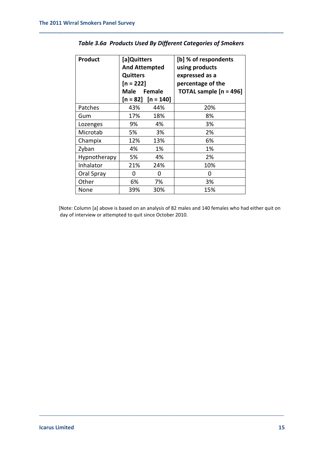| <b>Product</b> | [a]Quitters<br><b>And Attempted</b><br><b>Quitters</b><br>$[n = 222]$<br>Male<br>Female<br>$[n = 82]$ $[n = 140]$ |     | [b] % of respondents<br>using products<br>expressed as a<br>percentage of the<br><b>TOTAL sample <math>[n = 496]</math></b> |  |
|----------------|-------------------------------------------------------------------------------------------------------------------|-----|-----------------------------------------------------------------------------------------------------------------------------|--|
| Patches        | 43%                                                                                                               | 44% | 20%                                                                                                                         |  |
| Gum            | 17%                                                                                                               | 18% | 8%                                                                                                                          |  |
| Lozenges       | 9%                                                                                                                | 4%  | 3%                                                                                                                          |  |
| Microtab       | 5%                                                                                                                | 3%  | 2%                                                                                                                          |  |
| Champix        | 12%                                                                                                               | 13% | 6%                                                                                                                          |  |
| Zyban          | 4%                                                                                                                | 1%  | 1%                                                                                                                          |  |
| Hypnotherapy   | 5%                                                                                                                | 4%  | 2%                                                                                                                          |  |
| Inhalator      | 21%                                                                                                               | 24% | 10%                                                                                                                         |  |
| Oral Spray     | 0                                                                                                                 | 0   | 0                                                                                                                           |  |
| Other          | 6%                                                                                                                | 7%  | 3%                                                                                                                          |  |
| None           | 39%                                                                                                               | 30% | 15%                                                                                                                         |  |

### *Table 3.6a Products Used By Different Categories of Smokers*

**\_\_\_\_\_\_\_\_\_\_\_\_\_\_\_\_\_\_\_\_\_\_\_\_\_\_\_\_\_\_\_\_\_\_\_\_\_\_\_\_\_\_\_\_\_\_\_\_\_\_\_\_\_\_\_\_\_\_\_\_\_\_\_\_\_\_\_\_\_\_\_\_\_\_\_\_\_\_\_\_\_\_**

[Note: Column [a] above is based on an analysis of 82 males and 140 females who had either quit on day of interview or attempted to quit since October 2010.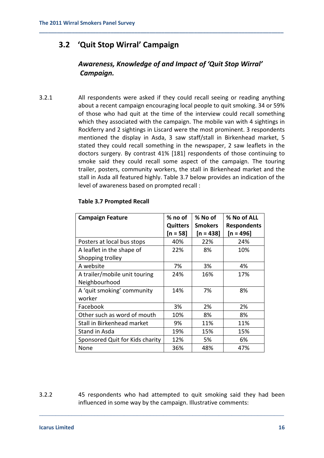# **3.2 'Quit Stop Wirral' Campaign**

# *Awareness, Knowledge of and Impact of 'Quit Stop Wirral' Campaign.*

**\_\_\_\_\_\_\_\_\_\_\_\_\_\_\_\_\_\_\_\_\_\_\_\_\_\_\_\_\_\_\_\_\_\_\_\_\_\_\_\_\_\_\_\_\_\_\_\_\_\_\_\_\_\_\_\_\_\_\_\_\_\_\_\_\_\_\_\_\_\_\_\_\_\_\_\_\_\_\_\_\_\_**

3.2.1 All respondents were asked if they could recall seeing or reading anything about a recent campaign encouraging local people to quit smoking. 34 or 59% of those who had quit at the time of the interview could recall something which they associated with the campaign. The mobile van with 4 sightings in Rockferry and 2 sightings in Liscard were the most prominent. 3 respondents mentioned the display in Asda, 3 saw staff/stall in Birkenhead market, 5 stated they could recall something in the newspaper, 2 saw leaflets in the doctors surgery. By contrast 41% [181] respondents of those continuing to smoke said they could recall some aspect of the campaign. The touring trailer, posters, community workers, the stall in Birkenhead market and the stall in Asda all featured highly. Table 3.7 below provides an indication of the level of awareness based on prompted recall :

| <b>Campaign Feature</b>         | % no of         | % No of        | % No of ALL        |
|---------------------------------|-----------------|----------------|--------------------|
|                                 | <b>Quitters</b> | <b>Smokers</b> | <b>Respondents</b> |
|                                 | $[n = 58]$      | $[n = 438]$    | $[n = 496]$        |
| Posters at local bus stops      | 40%             | 22%            | 24%                |
| A leaflet in the shape of       | 22%             | 8%             | 10%                |
| Shopping trolley                |                 |                |                    |
| A website                       | 7%              | 3%             | 4%                 |
| A trailer/mobile unit touring   | 24%             | 16%            | 17%                |
| Neighbourhood                   |                 |                |                    |
| A 'quit smoking' community      | 14%             | 7%             | 8%                 |
| worker                          |                 |                |                    |
| Facebook                        | 3%              | 2%             | 2%                 |
| Other such as word of mouth     | 10%             | 8%             | 8%                 |
| Stall in Birkenhead market      | 9%              | 11%            | 11%                |
| Stand in Asda                   | 19%             | 15%            | 15%                |
| Sponsored Quit for Kids charity | 12%             | 5%             | 6%                 |
| None                            | 36%             | 48%            | 47%                |

#### **Table 3.7 Prompted Recall**

3.2.2 45 respondents who had attempted to quit smoking said they had been influenced in some way by the campaign. Illustrative comments: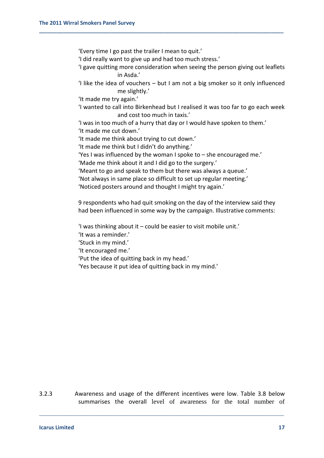'Every time I go past the trailer I mean to quit.'

'I did really want to give up and had too much stress.'

**\_\_\_\_\_\_\_\_\_\_\_\_\_\_\_\_\_\_\_\_\_\_\_\_\_\_\_\_\_\_\_\_\_\_\_\_\_\_\_\_\_\_\_\_\_\_\_\_\_\_\_\_\_\_\_\_\_\_\_\_\_\_\_\_\_\_\_\_\_\_\_\_\_\_\_\_\_\_\_\_\_\_**

- 'I gave quitting more consideration when seeing the person giving out leaflets in Asda.'
- 'I like the idea of vouchers but I am not a big smoker so it only influenced me slightly.'

'It made me try again.'

'I wanted to call into Birkenhead but I realised it was too far to go each week and cost too much in taxis.'

'I was in too much of a hurry that day or I would have spoken to them.' 'It made me cut down.'

'It made me think about trying to cut down.'

'It made me think but I didn't do anything.'

'Yes I was influenced by the woman I spoke to – she encouraged me.' 'Made me think about it and I did go to the surgery.'

'Meant to go and speak to them but there was always a queue.'

'Not always in same place so difficult to set up regular meeting.'

'Noticed posters around and thought I might try again.'

9 respondents who had quit smoking on the day of the interview said they had been influenced in some way by the campaign. Illustrative comments:

'I was thinking about it – could be easier to visit mobile unit.'

'It was a reminder.'

'Stuck in my mind.'

'It encouraged me.'

'Put the idea of quitting back in my head.'

'Yes because it put idea of quitting back in my mind.'

3.2.3 Awareness and usage of the different incentives were low. Table 3.8 below summarises the overall level of awareness for the total number of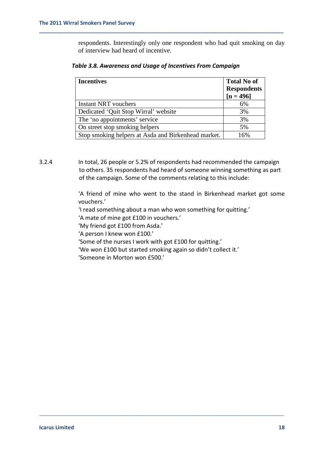respondents. Interestingly only one respondent who had quit smoking on day of interview had heard of incentive.

| <b>Incentives</b>                                   | <b>Total No of</b><br><b>Respondents</b><br>$[n = 496]$ |
|-----------------------------------------------------|---------------------------------------------------------|
| <b>Instant NRT</b> vouchers                         | 6%                                                      |
| Dedicated 'Quit Stop Wirral' website                | 3%                                                      |
| The 'no appointments' service                       | 3%                                                      |
| On street stop smoking helpers                      | 5%                                                      |
| Stop smoking helpers at Asda and Birkenhead market. | 16%                                                     |

#### *Table 3.8. Awareness and Usage of Incentives From Campaign*

**\_\_\_\_\_\_\_\_\_\_\_\_\_\_\_\_\_\_\_\_\_\_\_\_\_\_\_\_\_\_\_\_\_\_\_\_\_\_\_\_\_\_\_\_\_\_\_\_\_\_\_\_\_\_\_\_\_\_\_\_\_\_\_\_\_\_\_\_\_\_\_\_\_\_\_\_\_\_\_\_\_\_**

3.2.4 In total, 26 people or 5.2% of respondents had recommended the campaign to others. 35 respondents had heard of someone winning something as part of the campaign. Some of the comments relating to this include:

> 'A friend of mine who went to the stand in Birkenhead market got some vouchers.'

'I read something about a man who won something for quitting.'

'A mate of mine got £100 in vouchers.'

'My friend got £100 from Asda.'

'A person I knew won £100.'

'Some of the nurses I work with got £100 for quitting.'

'We won £100 but started smoking again so didn't collect it.'

\_\_\_\_\_\_\_\_\_\_\_\_\_\_\_\_\_\_\_\_\_\_\_\_\_\_\_\_\_\_\_\_\_\_\_\_\_\_\_\_\_\_\_\_\_\_\_\_\_\_\_\_\_\_\_\_\_\_\_\_\_\_\_\_\_\_\_\_\_\_\_\_\_\_\_

'Someone in Morton won £500.'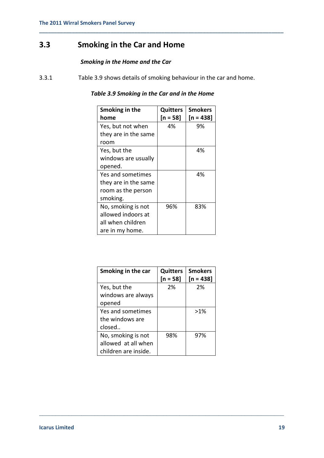# **3.3 Smoking in the Car and Home**

### *Smoking in the Home and the Car*

3.3.1 Table 3.9 shows details of smoking behaviour in the car and home.

### *Table 3.9 Smoking in the Car and in the Home*

**\_\_\_\_\_\_\_\_\_\_\_\_\_\_\_\_\_\_\_\_\_\_\_\_\_\_\_\_\_\_\_\_\_\_\_\_\_\_\_\_\_\_\_\_\_\_\_\_\_\_\_\_\_\_\_\_\_\_\_\_\_\_\_\_\_\_\_\_\_\_\_\_\_\_\_\_\_\_\_\_\_\_**

| Smoking in the<br>home | Quitters<br>$[n = 58]$ | <b>Smokers</b><br>$[n = 438]$ |
|------------------------|------------------------|-------------------------------|
| Yes, but not when      | 4%                     | 9%                            |
| they are in the same   |                        |                               |
| room                   |                        |                               |
| Yes, but the           |                        | 4%                            |
| windows are usually    |                        |                               |
| opened.                |                        |                               |
| Yes and sometimes      |                        | 4%                            |
| they are in the same   |                        |                               |
| room as the person     |                        |                               |
| smoking.               |                        |                               |
| No, smoking is not     | 96%                    | 83%                           |
| allowed indoors at     |                        |                               |
| all when children      |                        |                               |
| are in my home.        |                        |                               |

| Smoking in the car   | <b>Quitters</b><br>$[n = 58]$ | <b>Smokers</b><br>$[n = 438]$ |
|----------------------|-------------------------------|-------------------------------|
| Yes, but the         | 2%                            | 2%                            |
| windows are always   |                               |                               |
| opened               |                               |                               |
| Yes and sometimes    |                               | $>1\%$                        |
| the windows are      |                               |                               |
| closed               |                               |                               |
| No, smoking is not   | 98%                           | 97%                           |
| allowed at all when  |                               |                               |
| children are inside. |                               |                               |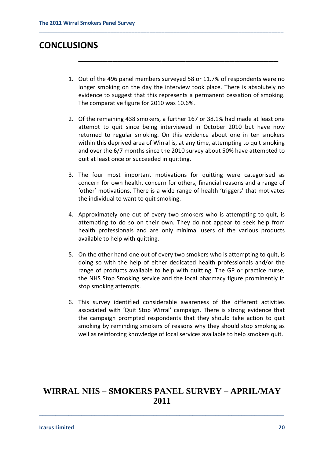# **CONCLUSIONS**

1. Out of the 496 panel members surveyed 58 or 11.7% of respondents were no longer smoking on the day the interview took place. There is absolutely no evidence to suggest that this represents a permanent cessation of smoking. The comparative figure for 2010 was 10.6%.

**\_\_\_\_\_\_\_\_\_\_\_\_\_\_\_\_\_\_\_\_\_\_\_\_\_\_\_\_\_\_\_\_\_\_\_\_\_\_\_\_\_**

**\_\_\_\_\_\_\_\_\_\_\_\_\_\_\_\_\_\_\_\_\_\_\_\_\_\_\_\_\_\_\_\_\_\_\_\_\_\_\_\_\_\_\_\_\_\_\_\_\_\_\_\_\_\_\_\_\_\_\_\_\_\_\_\_\_\_\_\_\_\_\_\_\_\_\_\_\_\_\_\_\_\_**

- 2. Of the remaining 438 smokers, a further 167 or 38.1% had made at least one attempt to quit since being interviewed in October 2010 but have now returned to regular smoking. On this evidence about one in ten smokers within this deprived area of Wirral is, at any time, attempting to quit smoking and over the 6/7 months since the 2010 survey about 50% have attempted to quit at least once or succeeded in quitting.
- 3. The four most important motivations for quitting were categorised as concern for own health, concern for others, financial reasons and a range of 'other' motivations. There is a wide range of health 'triggers' that motivates the individual to want to quit smoking.
- 4. Approximately one out of every two smokers who is attempting to quit, is attempting to do so on their own. They do not appear to seek help from health professionals and are only minimal users of the various products available to help with quitting.
- 5. On the other hand one out of every two smokers who is attempting to quit, is doing so with the help of either dedicated health professionals and/or the range of products available to help with quitting. The GP or practice nurse, the NHS Stop Smoking service and the local pharmacy figure prominently in stop smoking attempts.
- 6. This survey identified considerable awareness of the different activities associated with 'Quit Stop Wirral' campaign. There is strong evidence that the campaign prompted respondents that they should take action to quit smoking by reminding smokers of reasons why they should stop smoking as well as reinforcing knowledge of local services available to help smokers quit.

# **WIRRAL NHS – SMOKERS PANEL SURVEY – APRIL/MAY 2011**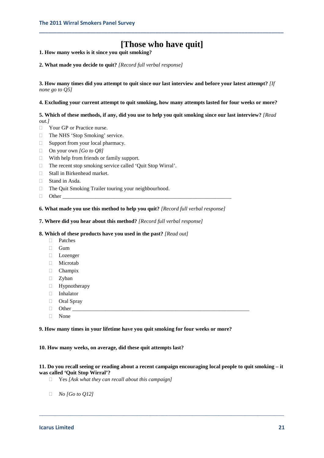# **[Those who have quit]**

**\_\_\_\_\_\_\_\_\_\_\_\_\_\_\_\_\_\_\_\_\_\_\_\_\_\_\_\_\_\_\_\_\_\_\_\_\_\_\_\_\_\_\_\_\_\_\_\_\_\_\_\_\_\_\_\_\_\_\_\_\_\_\_\_\_\_\_\_\_\_\_\_\_\_\_\_\_\_\_\_\_\_**

**1. How many weeks is it since you quit smoking?** 

**2. What made you decide to quit?** *[Record full verbal response]*

**3. How many times did you attempt to quit since our last interview and before your latest attempt?** *[If none go to Q5]*

**4. Excluding your current attempt to quit smoking, how many attempts lasted for four weeks or more?**

**5. Which of these methods, if any, did you use to help you quit smoking since our last interview?** *[Read out.]*

- **Nour GP** or Practice nurse.
- □ The NHS 'Stop Smoking' service.
- □ Support from your local pharmacy.
- On your own *[Go to Q8]*
- $\Box$  With help from friends or family support.
- □ The recent stop smoking service called 'Quit Stop Wirral'.
- □ Stall in Birkenhead market.
- □ Stand in Asda.
- $\Box$  The Quit Smoking Trailer touring your neighbourhood.
- $\Box$  Other

#### **6. What made you use this method to help you quit?** *[Record full verbal response]*

#### **7. Where did you hear about this method?** *[Record full verbal response]*

#### **8. Which of these products have you used in the past?** *[Read out]*

- Patches
- **Gum**
- Lozenger
- Microtab
- Champix
- □ Zyban
- Hypnotherapy
- Inhalator
- □ Oral Spray
- $\Box$  Other
- None

#### **9. How many times in your lifetime have you quit smoking for four weeks or more?**

#### **10. How many weeks, on average, did these quit attempts last?**

#### **11. Do you recall seeing or reading about a recent campaign encouraging local people to quit smoking – it was called 'Quit Stop Wirral'?**

- Yes *[Ask what they can recall about this campaign]*
- *No [Go to Q12]*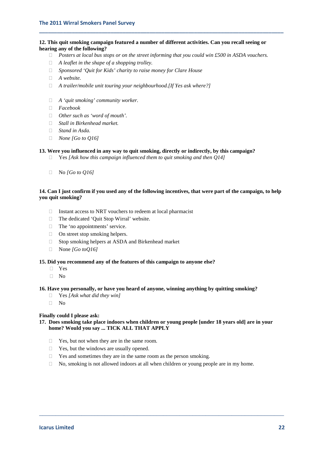#### **12. This quit smoking campaign featured a number of different activities. Can you recall seeing or hearing any of the following?**

*Posters at local bus stops or on the street informing that you could win £500 in ASDA vouchers.*

**\_\_\_\_\_\_\_\_\_\_\_\_\_\_\_\_\_\_\_\_\_\_\_\_\_\_\_\_\_\_\_\_\_\_\_\_\_\_\_\_\_\_\_\_\_\_\_\_\_\_\_\_\_\_\_\_\_\_\_\_\_\_\_\_\_\_\_\_\_\_\_\_\_\_\_\_\_\_\_\_\_\_**

- *A leaflet in the shape of a shopping trolley.*
- *Sponsored 'Quit for Kids' charity to raise money for Clare House*
- *A website.*
- *A trailer/mobile unit touring your neighbourhood.[If Yes ask where?]*
- *A 'quit smoking' community worker.*
- *Facebook*
- *Other such as 'word of mouth'.*
- *Stall in Birkenhead market.*
- *Stand in Asda.*
- *None [Go to Q16]*

#### **13. Were you influenced in any way to quit smoking, directly or indirectly, by this campaign?**

- Yes *[Ask how this campaign influenced them to quit smoking and then Q14]*
- No *[Go to Q16]*

#### **14. Can I just confirm if you used any of the following incentives, that were part of the campaign, to help you quit smoking?**

- $\Box$  Instant access to NRT vouchers to redeem at local pharmacist
- The dedicated 'Quit Stop Wirral' website.
- □ The 'no appointments' service.
- □ On street stop smoking helpers.
- $\Box$  Stop smoking helpers at ASDA and Birkenhead market
- None *[Go toQ16]*

#### **15. Did you recommend any of the features of this campaign to anyone else?**

- Yes
- $\neg$  No

#### **16. Have you personally, or have you heard of anyone, winning anything by quitting smoking?**

- Yes *[Ask what did they win]*
- $\Box$  No

#### **Finally could I please ask:**

#### **17. Does smoking take place indoors when children or young people [under 18 years old] are in your home? Would you say ... TICK ALL THAT APPLY**

- □ Yes, but not when they are in the same room.
- $\Box$  Yes, but the windows are usually opened.
- $\Box$  Yes and sometimes they are in the same room as the person smoking.
- $\Box$  No, smoking is not allowed indoors at all when children or young people are in my home.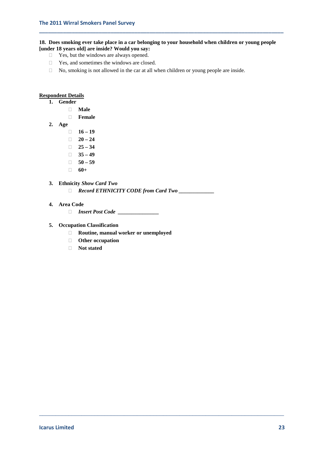#### **18. Does smoking ever take place in a car belonging to your household when children or young people [under 18 years old] are inside? Would you say:**

**\_\_\_\_\_\_\_\_\_\_\_\_\_\_\_\_\_\_\_\_\_\_\_\_\_\_\_\_\_\_\_\_\_\_\_\_\_\_\_\_\_\_\_\_\_\_\_\_\_\_\_\_\_\_\_\_\_\_\_\_\_\_\_\_\_\_\_\_\_\_\_\_\_\_\_\_\_\_\_\_\_\_**

- Yes, but the windows are always opened.
- $\Box$  Yes, and sometimes the windows are closed.
- $\Box$  No, smoking is not allowed in the car at all when children or young people are inside.

#### **Respondent Details**

**1. Gender**

- **Male**
- **Female**
- **2. Age**
	- $16 19$
	- $\Box$  **20 24**
	- $\Box$  25 34
	- $\Box$  35 49
	- $\Box$  50 59
	- **60+**

#### **3. Ethnicity** *Show Card Two*

*Record ETHNICITY CODE from Card Two \_\_\_\_\_\_\_\_\_\_\_\_\_*

\_\_\_\_\_\_\_\_\_\_\_\_\_\_\_\_\_\_\_\_\_\_\_\_\_\_\_\_\_\_\_\_\_\_\_\_\_\_\_\_\_\_\_\_\_\_\_\_\_\_\_\_\_\_\_\_\_\_\_\_\_\_\_\_\_\_\_\_\_\_\_\_\_\_\_

#### **4. Area Code**

*Insert Post Code \_\_\_\_\_\_\_\_\_\_\_\_\_\_\_*

#### **5. Occupation Classification**

- **Routine, manual worker or unemployed**
- **Other occupation**
- **Not stated**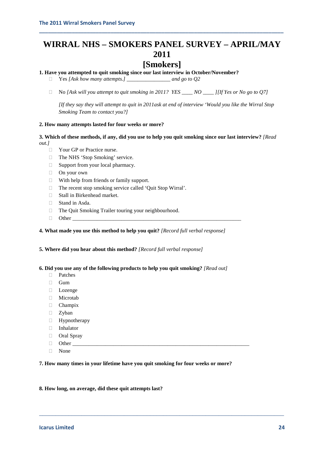# **WIRRAL NHS – SMOKERS PANEL SURVEY – APRIL/MAY 2011**

**\_\_\_\_\_\_\_\_\_\_\_\_\_\_\_\_\_\_\_\_\_\_\_\_\_\_\_\_\_\_\_\_\_\_\_\_\_\_\_\_\_\_\_\_\_\_\_\_\_\_\_\_\_\_\_\_\_\_\_\_\_\_\_\_\_\_\_\_\_\_\_\_\_\_\_\_\_\_\_\_\_\_**

# **[Smokers]**

#### **1. Have you attempted to quit smoking since our last interview in October/November?**

Yes *[Ask how many attempts.] \_\_\_\_\_\_\_\_\_\_\_\_\_\_\_\_ and go to Q2*

No *[Ask will you attempt to quit smoking in 2011? YES \_\_\_\_ NO \_\_\_\_ ][If Yes or No go to Q7]*

*[If they say they will attempt to quit in 2011ask at end of interview 'Would you like the Wirral Stop Smoking Team to contact you?]*

#### **2. How many attempts lasted for four weeks or more?**

#### **3. Which of these methods, if any, did you use to help you quit smoking since our last interview?** *[Read out.]*

- □ Your GP or Practice nurse.
- □ The NHS 'Stop Smoking' service.
- $\Box$  Support from your local pharmacy.
- □ On your own
- $\Box$  With help from friends or family support.
- $\Box$  The recent stop smoking service called 'Quit Stop Wirral'.
- □ Stall in Birkenhead market.
- □ Stand in Asda.
- The Quit Smoking Trailer touring your neighbourhood.
- Other \_\_\_\_\_\_\_\_\_\_\_\_\_\_\_\_\_\_\_\_\_\_\_\_\_\_\_\_\_\_\_\_\_\_\_\_\_\_\_\_\_\_\_\_\_\_\_\_\_\_\_\_\_\_\_\_\_\_\_\_\_\_

#### **4. What made you use this method to help you quit?** *[Record full verbal response]*

**5. Where did you hear about this method?** *[Record full verbal response]*

#### **6. Did you use any of the following products to help you quit smoking?** *[Read out]*

- Patches
- □ Gum
- □ Lozenge
- Microtab
- Champix
- □ Zyban
- $\Box$  Hypnotherapy
- Inhalator
- □ Oral Spray
- $\Box$  Other
- None

#### **7. How many times in your lifetime have you quit smoking for four weeks or more?**

\_\_\_\_\_\_\_\_\_\_\_\_\_\_\_\_\_\_\_\_\_\_\_\_\_\_\_\_\_\_\_\_\_\_\_\_\_\_\_\_\_\_\_\_\_\_\_\_\_\_\_\_\_\_\_\_\_\_\_\_\_\_\_\_\_\_\_\_\_\_\_\_\_\_\_

#### **8. How long, on average, did these quit attempts last?**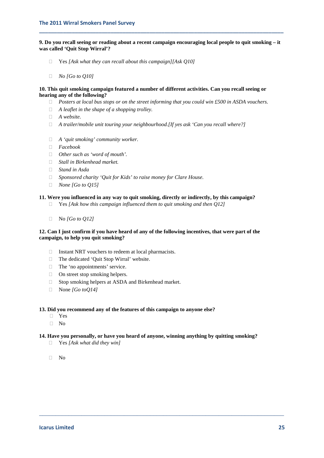**9. Do you recall seeing or reading about a recent campaign encouraging local people to quit smoking – it was called 'Quit Stop Wirral'?**

**\_\_\_\_\_\_\_\_\_\_\_\_\_\_\_\_\_\_\_\_\_\_\_\_\_\_\_\_\_\_\_\_\_\_\_\_\_\_\_\_\_\_\_\_\_\_\_\_\_\_\_\_\_\_\_\_\_\_\_\_\_\_\_\_\_\_\_\_\_\_\_\_\_\_\_\_\_\_\_\_\_\_**

- Yes *[Ask what they can recall about this campaign][Ask Q10]*
- *No [Go to Q10]*

#### **10. This quit smoking campaign featured a number of different activities. Can you recall seeing or hearing any of the following?**

- *Posters at local bus stops or on the street informing that you could win £500 in ASDA vouchers.*
- *A leaflet in the shape of a shopping trolley.*
- *A website.*
- *A trailer/mobile unit touring your neighbourhood.[If yes ask 'Can you recall where?]*
- *A 'quit smoking' community worker.*
- *Facebook*
- *Other such as 'word of mouth'.*
- *Stall in Birkenhead market.*
- *Stand in Asda*
- *Sponsored charity 'Quit for Kids' to raise money for Clare House.*
- *None [Go to Q15]*

#### **11. Were you influenced in any way to quit smoking, directly or indirectly, by this campaign?**

- Yes *[Ask how this campaign influenced them to quit smoking and then Q12]*
- No *[Go to Q12]*

#### **12. Can I just confirm if you have heard of any of the following incentives, that were part of the campaign, to help you quit smoking?**

- $\Box$  Instant NRT vouchers to redeem at local pharmacists.
- □ The dedicated 'Quit Stop Wirral' website.
- □ The 'no appointments' service.
- $\Box$  On street stop smoking helpers.
- $\Box$  Stop smoking helpers at ASDA and Birkenhead market.
- None *[Go toQ14]*

#### **13. Did you recommend any of the features of this campaign to anyone else?**

- Yes
- $\Box$  No

#### **14. Have you personally, or have you heard of anyone, winning anything by quitting smoking?**

- Yes *[Ask what did they win]*
- $\neg$  No